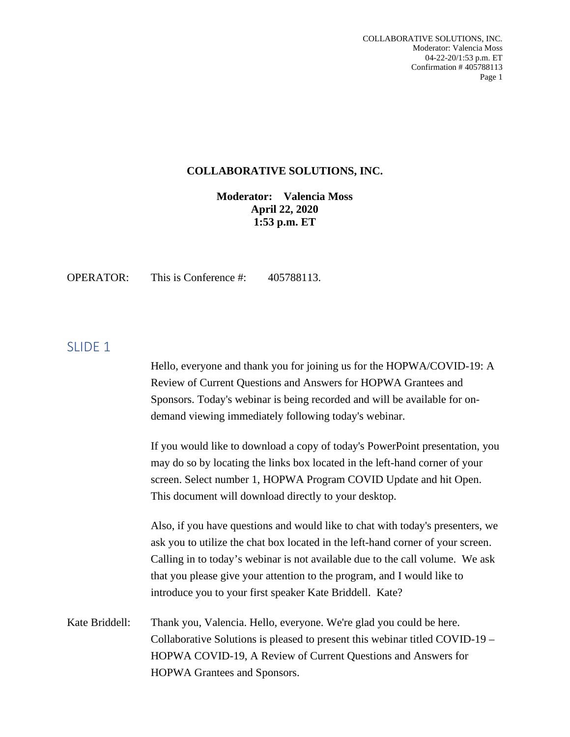#### **COLLABORATIVE SOLUTIONS, INC.**

**Moderator: Valencia Moss April 22, 2020 1:53 p.m. ET**

OPERATOR: This is Conference #: 405788113.

### SLIDE 1

Hello, everyone and thank you for joining us for the HOPWA/COVID-19: A Review of Current Questions and Answers for HOPWA Grantees and Sponsors. Today's webinar is being recorded and will be available for ondemand viewing immediately following today's webinar.

If you would like to download a copy of today's PowerPoint presentation, you may do so by locating the links box located in the left-hand corner of your screen. Select number 1, HOPWA Program COVID Update and hit Open. This document will download directly to your desktop.

Also, if you have questions and would like to chat with today's presenters, we ask you to utilize the chat box located in the left-hand corner of your screen. Calling in to today's webinar is not available due to the call volume. We ask that you please give your attention to the program, and I would like to introduce you to your first speaker Kate Briddell. Kate?

Kate Briddell: Thank you, Valencia. Hello, everyone. We're glad you could be here. Collaborative Solutions is pleased to present this webinar titled COVID-19 – HOPWA COVID-19, A Review of Current Questions and Answers for HOPWA Grantees and Sponsors.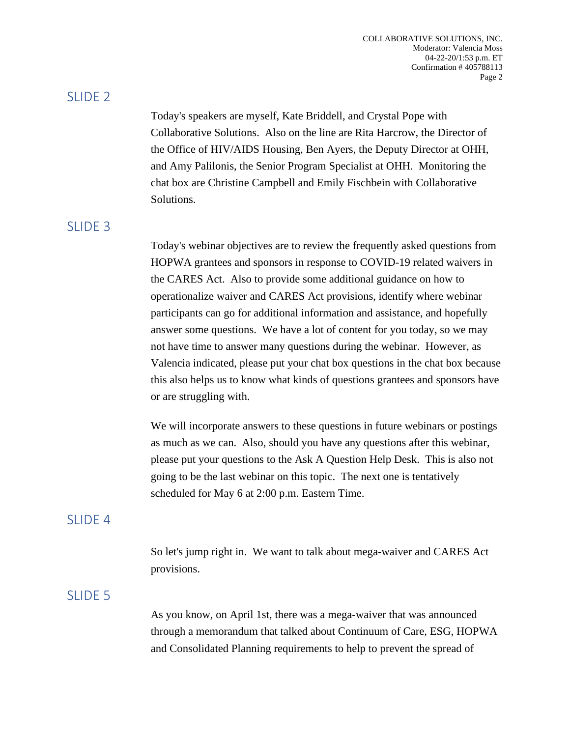Today's speakers are myself, Kate Briddell, and Crystal Pope with Collaborative Solutions. Also on the line are Rita Harcrow, the Director of the Office of HIV/AIDS Housing, Ben Ayers, the Deputy Director at OHH, and Amy Palilonis, the Senior Program Specialist at OHH. Monitoring the chat box are Christine Campbell and Emily Fischbein with Collaborative Solutions.

### SLIDE 3

Today's webinar objectives are to review the frequently asked questions from HOPWA grantees and sponsors in response to COVID-19 related waivers in the CARES Act. Also to provide some additional guidance on how to operationalize waiver and CARES Act provisions, identify where webinar participants can go for additional information and assistance, and hopefully answer some questions. We have a lot of content for you today, so we may not have time to answer many questions during the webinar. However, as Valencia indicated, please put your chat box questions in the chat box because this also helps us to know what kinds of questions grantees and sponsors have or are struggling with.

We will incorporate answers to these questions in future webinars or postings as much as we can. Also, should you have any questions after this webinar, please put your questions to the Ask A Question Help Desk. This is also not going to be the last webinar on this topic. The next one is tentatively scheduled for May 6 at 2:00 p.m. Eastern Time.

#### SLIDE 4

So let's jump right in. We want to talk about mega-waiver and CARES Act provisions.

#### SLIDE<sub>5</sub>

As you know, on April 1st, there was a mega-waiver that was announced through a memorandum that talked about Continuum of Care, ESG, HOPWA and Consolidated Planning requirements to help to prevent the spread of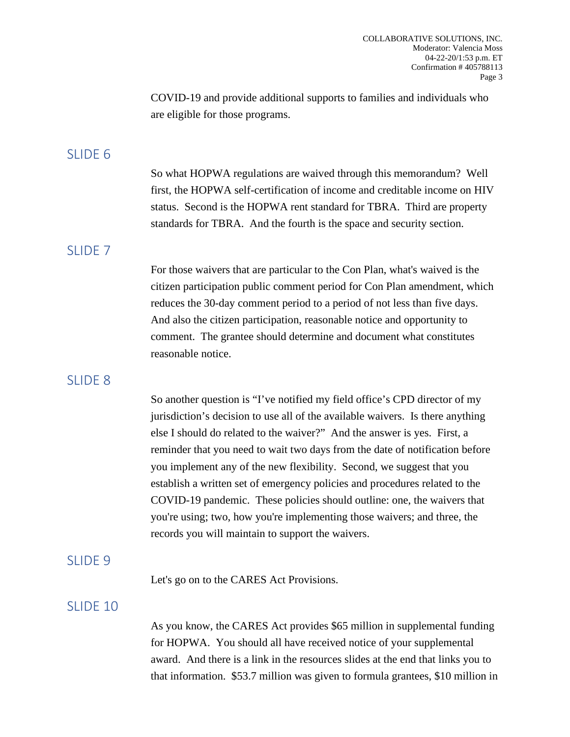COVID-19 and provide additional supports to families and individuals who are eligible for those programs.

## SLIDE 6

So what HOPWA regulations are waived through this memorandum? Well first, the HOPWA self-certification of income and creditable income on HIV status. Second is the HOPWA rent standard for TBRA. Third are property standards for TBRA. And the fourth is the space and security section.

### SLIDE 7

For those waivers that are particular to the Con Plan, what's waived is the citizen participation public comment period for Con Plan amendment, which reduces the 30-day comment period to a period of not less than five days. And also the citizen participation, reasonable notice and opportunity to comment. The grantee should determine and document what constitutes reasonable notice.

## SLIDE 8

So another question is "I've notified my field office's CPD director of my jurisdiction's decision to use all of the available waivers. Is there anything else I should do related to the waiver?" And the answer is yes. First, a reminder that you need to wait two days from the date of notification before you implement any of the new flexibility. Second, we suggest that you establish a written set of emergency policies and procedures related to the COVID-19 pandemic. These policies should outline: one, the waivers that you're using; two, how you're implementing those waivers; and three, the records you will maintain to support the waivers.

## SLIDE 9

Let's go on to the CARES Act Provisions.

## SLIDE 10

As you know, the CARES Act provides \$65 million in supplemental funding for HOPWA. You should all have received notice of your supplemental award. And there is a link in the resources slides at the end that links you to that information. \$53.7 million was given to formula grantees, \$10 million in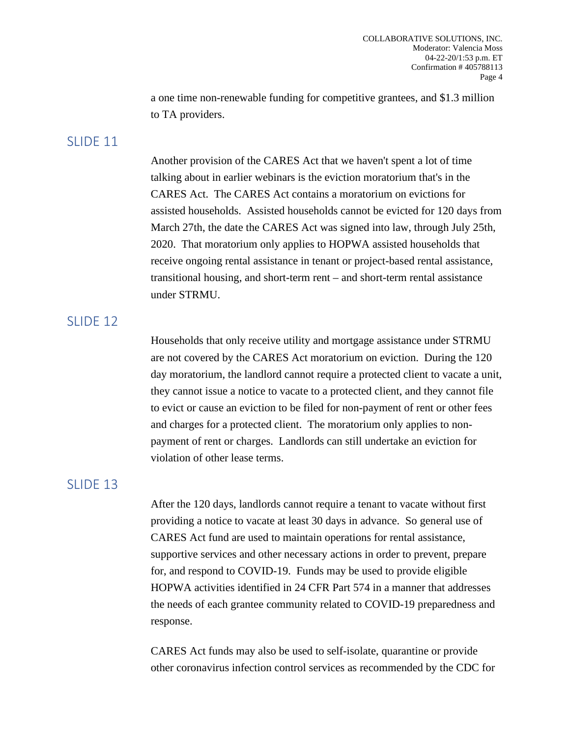a one time non-renewable funding for competitive grantees, and \$1.3 million to TA providers.

#### SLIDE 11

Another provision of the CARES Act that we haven't spent a lot of time talking about in earlier webinars is the eviction moratorium that's in the CARES Act. The CARES Act contains a moratorium on evictions for assisted households. Assisted households cannot be evicted for 120 days from March 27th, the date the CARES Act was signed into law, through July 25th, 2020. That moratorium only applies to HOPWA assisted households that receive ongoing rental assistance in tenant or project-based rental assistance, transitional housing, and short-term rent – and short-term rental assistance under STRMU.

### SLIDE 12

Households that only receive utility and mortgage assistance under STRMU are not covered by the CARES Act moratorium on eviction. During the 120 day moratorium, the landlord cannot require a protected client to vacate a unit, they cannot issue a notice to vacate to a protected client, and they cannot file to evict or cause an eviction to be filed for non-payment of rent or other fees and charges for a protected client. The moratorium only applies to nonpayment of rent or charges. Landlords can still undertake an eviction for violation of other lease terms.

### SLIDE 13

After the 120 days, landlords cannot require a tenant to vacate without first providing a notice to vacate at least 30 days in advance. So general use of CARES Act fund are used to maintain operations for rental assistance, supportive services and other necessary actions in order to prevent, prepare for, and respond to COVID-19. Funds may be used to provide eligible HOPWA activities identified in 24 CFR Part 574 in a manner that addresses the needs of each grantee community related to COVID-19 preparedness and response.

CARES Act funds may also be used to self-isolate, quarantine or provide other coronavirus infection control services as recommended by the CDC for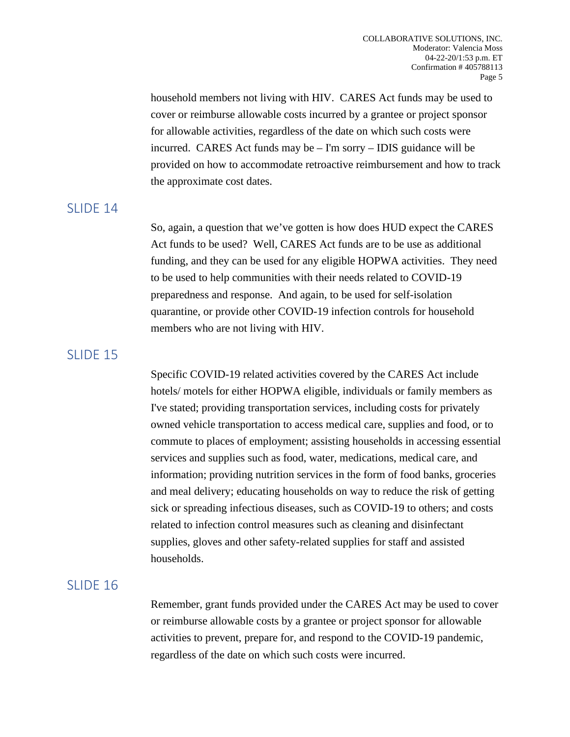household members not living with HIV. CARES Act funds may be used to cover or reimburse allowable costs incurred by a grantee or project sponsor for allowable activities, regardless of the date on which such costs were incurred. CARES Act funds may be – I'm sorry – IDIS guidance will be provided on how to accommodate retroactive reimbursement and how to track the approximate cost dates.

### SLIDE 14

So, again, a question that we've gotten is how does HUD expect the CARES Act funds to be used? Well, CARES Act funds are to be use as additional funding, and they can be used for any eligible HOPWA activities. They need to be used to help communities with their needs related to COVID-19 preparedness and response. And again, to be used for self-isolation quarantine, or provide other COVID-19 infection controls for household members who are not living with HIV.

## SLIDE 15

Specific COVID-19 related activities covered by the CARES Act include hotels/ motels for either HOPWA eligible, individuals or family members as I've stated; providing transportation services, including costs for privately owned vehicle transportation to access medical care, supplies and food, or to commute to places of employment; assisting households in accessing essential services and supplies such as food, water, medications, medical care, and information; providing nutrition services in the form of food banks, groceries and meal delivery; educating households on way to reduce the risk of getting sick or spreading infectious diseases, such as COVID-19 to others; and costs related to infection control measures such as cleaning and disinfectant supplies, gloves and other safety-related supplies for staff and assisted households.

## SLIDE 16

Remember, grant funds provided under the CARES Act may be used to cover or reimburse allowable costs by a grantee or project sponsor for allowable activities to prevent, prepare for, and respond to the COVID-19 pandemic, regardless of the date on which such costs were incurred.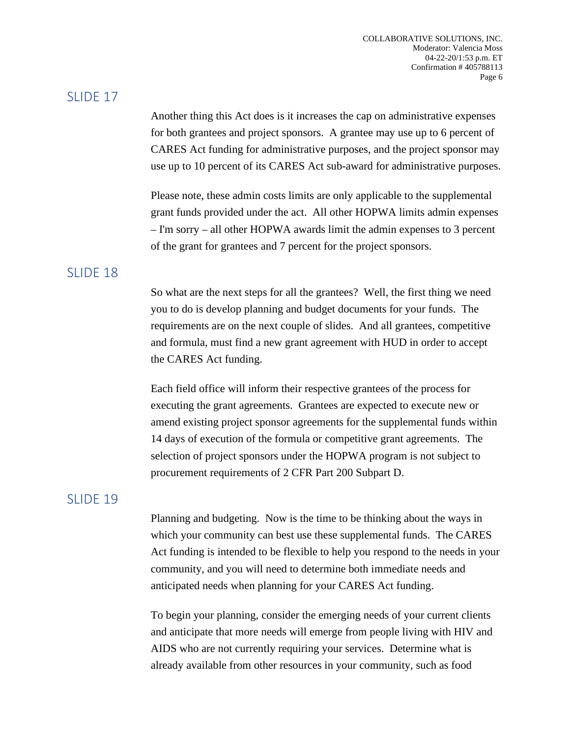Another thing this Act does is it increases the cap on administrative expenses for both grantees and project sponsors. A grantee may use up to 6 percent of CARES Act funding for administrative purposes, and the project sponsor may use up to 10 percent of its CARES Act sub-award for administrative purposes.

Please note, these admin costs limits are only applicable to the supplemental grant funds provided under the act. All other HOPWA limits admin expenses – I'm sorry – all other HOPWA awards limit the admin expenses to 3 percent of the grant for grantees and 7 percent for the project sponsors.

# SLIDE 18

So what are the next steps for all the grantees? Well, the first thing we need you to do is develop planning and budget documents for your funds. The requirements are on the next couple of slides. And all grantees, competitive and formula, must find a new grant agreement with HUD in order to accept the CARES Act funding.

Each field office will inform their respective grantees of the process for executing the grant agreements. Grantees are expected to execute new or amend existing project sponsor agreements for the supplemental funds within 14 days of execution of the formula or competitive grant agreements. The selection of project sponsors under the HOPWA program is not subject to procurement requirements of 2 CFR Part 200 Subpart D.

# SLIDE 19

Planning and budgeting. Now is the time to be thinking about the ways in which your community can best use these supplemental funds. The CARES Act funding is intended to be flexible to help you respond to the needs in your community, and you will need to determine both immediate needs and anticipated needs when planning for your CARES Act funding.

To begin your planning, consider the emerging needs of your current clients and anticipate that more needs will emerge from people living with HIV and AIDS who are not currently requiring your services. Determine what is already available from other resources in your community, such as food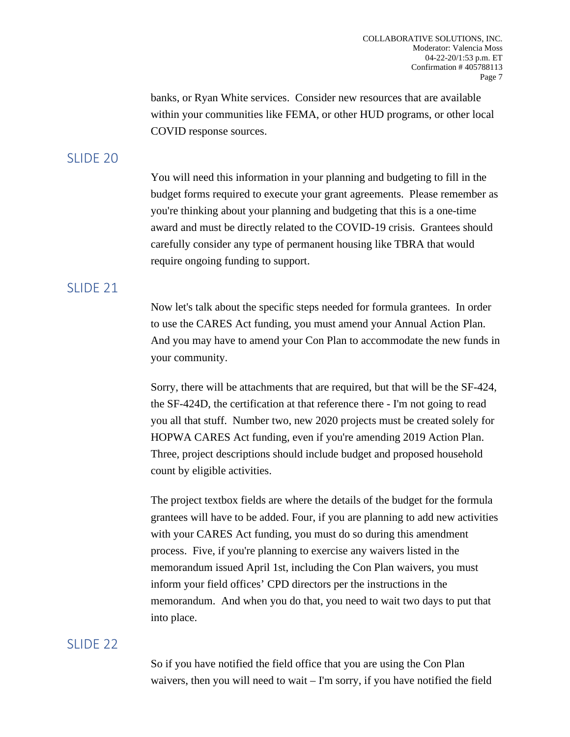banks, or Ryan White services. Consider new resources that are available within your communities like FEMA, or other HUD programs, or other local COVID response sources.

## SLIDE 20

You will need this information in your planning and budgeting to fill in the budget forms required to execute your grant agreements. Please remember as you're thinking about your planning and budgeting that this is a one-time award and must be directly related to the COVID-19 crisis. Grantees should carefully consider any type of permanent housing like TBRA that would require ongoing funding to support.

# SLIDE 21

Now let's talk about the specific steps needed for formula grantees. In order to use the CARES Act funding, you must amend your Annual Action Plan. And you may have to amend your Con Plan to accommodate the new funds in your community.

Sorry, there will be attachments that are required, but that will be the SF-424, the SF-424D, the certification at that reference there - I'm not going to read you all that stuff. Number two, new 2020 projects must be created solely for HOPWA CARES Act funding, even if you're amending 2019 Action Plan. Three, project descriptions should include budget and proposed household count by eligible activities.

The project textbox fields are where the details of the budget for the formula grantees will have to be added. Four, if you are planning to add new activities with your CARES Act funding, you must do so during this amendment process. Five, if you're planning to exercise any waivers listed in the memorandum issued April 1st, including the Con Plan waivers, you must inform your field offices' CPD directors per the instructions in the memorandum. And when you do that, you need to wait two days to put that into place.

### SLIDE 22

So if you have notified the field office that you are using the Con Plan waivers, then you will need to wait – I'm sorry, if you have notified the field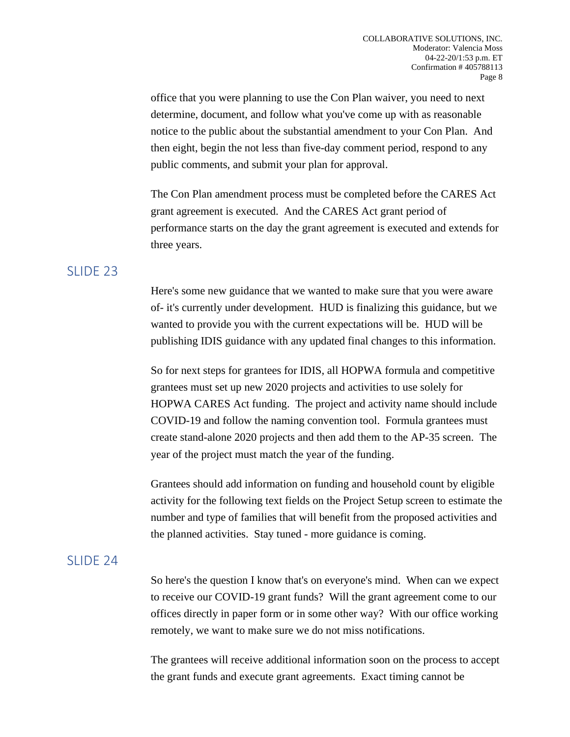office that you were planning to use the Con Plan waiver, you need to next determine, document, and follow what you've come up with as reasonable notice to the public about the substantial amendment to your Con Plan. And then eight, begin the not less than five-day comment period, respond to any public comments, and submit your plan for approval.

The Con Plan amendment process must be completed before the CARES Act grant agreement is executed. And the CARES Act grant period of performance starts on the day the grant agreement is executed and extends for three years.

### SLIDE 23

Here's some new guidance that we wanted to make sure that you were aware of- it's currently under development. HUD is finalizing this guidance, but we wanted to provide you with the current expectations will be. HUD will be publishing IDIS guidance with any updated final changes to this information.

So for next steps for grantees for IDIS, all HOPWA formula and competitive grantees must set up new 2020 projects and activities to use solely for HOPWA CARES Act funding. The project and activity name should include COVID-19 and follow the naming convention tool. Formula grantees must create stand-alone 2020 projects and then add them to the AP-35 screen. The year of the project must match the year of the funding.

Grantees should add information on funding and household count by eligible activity for the following text fields on the Project Setup screen to estimate the number and type of families that will benefit from the proposed activities and the planned activities. Stay tuned - more guidance is coming.

## SLIDE 24

So here's the question I know that's on everyone's mind. When can we expect to receive our COVID-19 grant funds? Will the grant agreement come to our offices directly in paper form or in some other way? With our office working remotely, we want to make sure we do not miss notifications.

The grantees will receive additional information soon on the process to accept the grant funds and execute grant agreements. Exact timing cannot be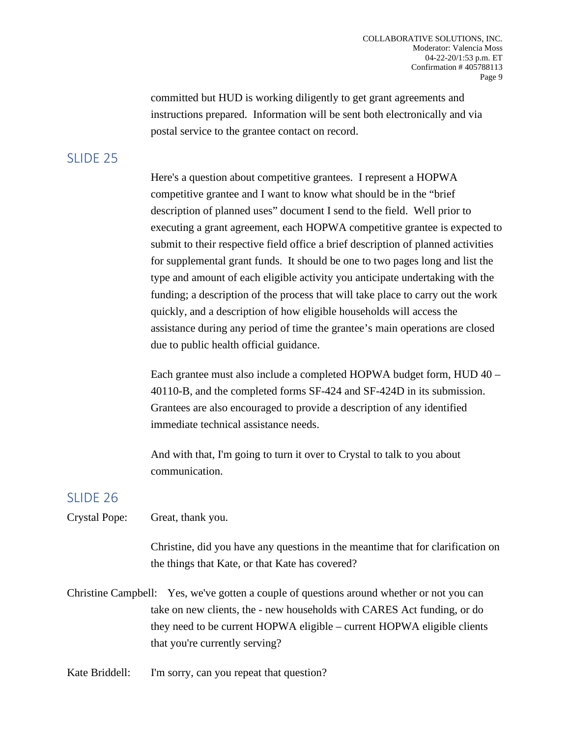committed but HUD is working diligently to get grant agreements and instructions prepared. Information will be sent both electronically and via postal service to the grantee contact on record.

# SLIDE<sub>25</sub>

Here's a question about competitive grantees. I represent a HOPWA competitive grantee and I want to know what should be in the "brief description of planned uses" document I send to the field. Well prior to executing a grant agreement, each HOPWA competitive grantee is expected to submit to their respective field office a brief description of planned activities for supplemental grant funds. It should be one to two pages long and list the type and amount of each eligible activity you anticipate undertaking with the funding; a description of the process that will take place to carry out the work quickly, and a description of how eligible households will access the assistance during any period of time the grantee's main operations are closed due to public health official guidance.

Each grantee must also include a completed HOPWA budget form, HUD 40 – 40110-B, and the completed forms SF-424 and SF-424D in its submission. Grantees are also encouraged to provide a description of any identified immediate technical assistance needs.

And with that, I'm going to turn it over to Crystal to talk to you about communication.

## SLIDE 26

Crystal Pope: Great, thank you.

Christine, did you have any questions in the meantime that for clarification on the things that Kate, or that Kate has covered?

- Christine Campbell: Yes, we've gotten a couple of questions around whether or not you can take on new clients, the - new households with CARES Act funding, or do they need to be current HOPWA eligible – current HOPWA eligible clients that you're currently serving?
- Kate Briddell: I'm sorry, can you repeat that question?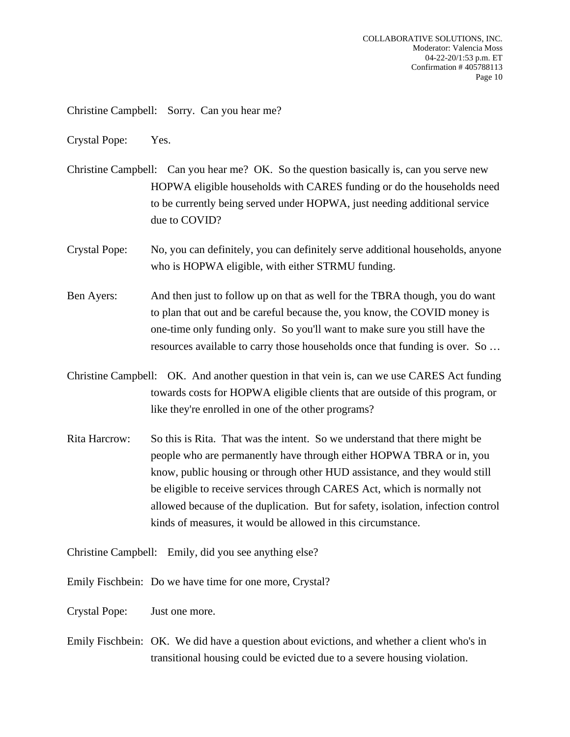Christine Campbell: Sorry. Can you hear me?

- Crystal Pope: Yes.
- Christine Campbell: Can you hear me? OK. So the question basically is, can you serve new HOPWA eligible households with CARES funding or do the households need to be currently being served under HOPWA, just needing additional service due to COVID?
- Crystal Pope: No, you can definitely, you can definitely serve additional households, anyone who is HOPWA eligible, with either STRMU funding.
- Ben Ayers: And then just to follow up on that as well for the TBRA though, you do want to plan that out and be careful because the, you know, the COVID money is one-time only funding only. So you'll want to make sure you still have the resources available to carry those households once that funding is over. So …
- Christine Campbell: OK. And another question in that vein is, can we use CARES Act funding towards costs for HOPWA eligible clients that are outside of this program, or like they're enrolled in one of the other programs?
- Rita Harcrow: So this is Rita. That was the intent. So we understand that there might be people who are permanently have through either HOPWA TBRA or in, you know, public housing or through other HUD assistance, and they would still be eligible to receive services through CARES Act, which is normally not allowed because of the duplication. But for safety, isolation, infection control kinds of measures, it would be allowed in this circumstance.

Christine Campbell: Emily, did you see anything else?

Emily Fischbein: Do we have time for one more, Crystal?

Crystal Pope: Just one more.

Emily Fischbein: OK. We did have a question about evictions, and whether a client who's in transitional housing could be evicted due to a severe housing violation.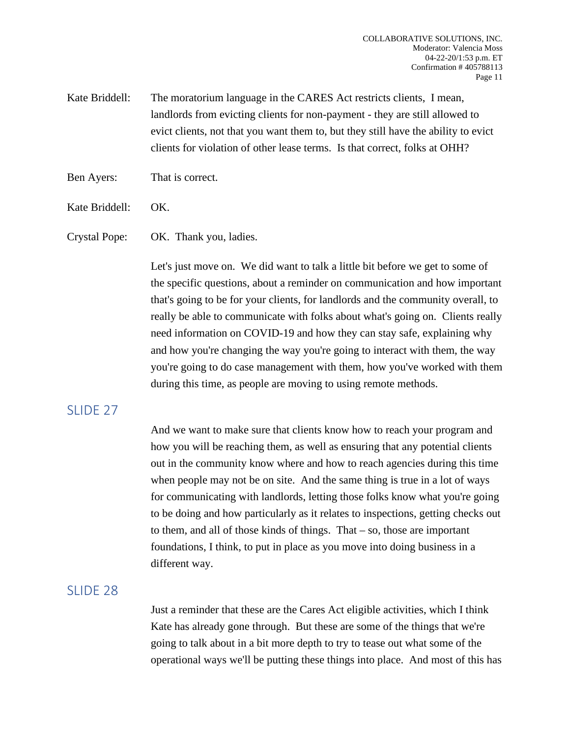Kate Briddell: The moratorium language in the CARES Act restricts clients, I mean, landlords from evicting clients for non-payment - they are still allowed to evict clients, not that you want them to, but they still have the ability to evict clients for violation of other lease terms. Is that correct, folks at OHH?

Ben Ayers: That is correct.

Kate Briddell: OK.

Crystal Pope: OK. Thank you, ladies.

Let's just move on. We did want to talk a little bit before we get to some of the specific questions, about a reminder on communication and how important that's going to be for your clients, for landlords and the community overall, to really be able to communicate with folks about what's going on. Clients really need information on COVID-19 and how they can stay safe, explaining why and how you're changing the way you're going to interact with them, the way you're going to do case management with them, how you've worked with them during this time, as people are moving to using remote methods.

# SLIDE 27

And we want to make sure that clients know how to reach your program and how you will be reaching them, as well as ensuring that any potential clients out in the community know where and how to reach agencies during this time when people may not be on site. And the same thing is true in a lot of ways for communicating with landlords, letting those folks know what you're going to be doing and how particularly as it relates to inspections, getting checks out to them, and all of those kinds of things. That – so, those are important foundations, I think, to put in place as you move into doing business in a different way.

## SLIDE 28

Just a reminder that these are the Cares Act eligible activities, which I think Kate has already gone through. But these are some of the things that we're going to talk about in a bit more depth to try to tease out what some of the operational ways we'll be putting these things into place. And most of this has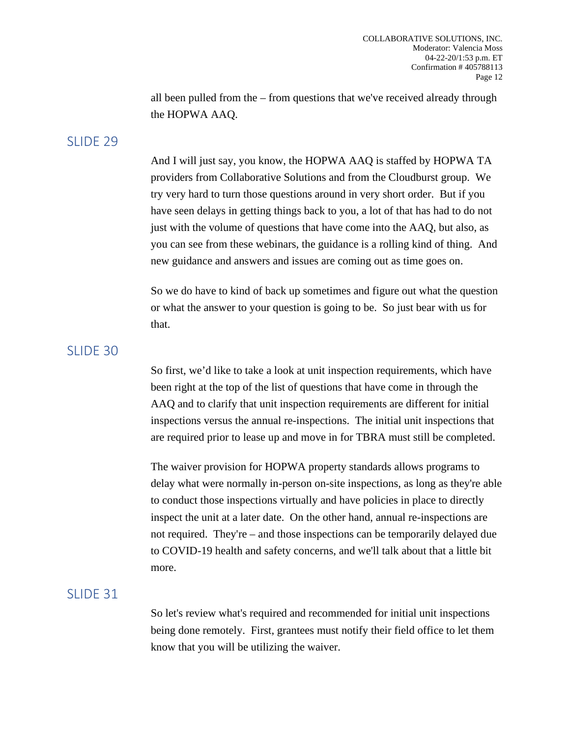all been pulled from the – from questions that we've received already through the HOPWA AAQ.

### SLIDE<sub>29</sub>

And I will just say, you know, the HOPWA AAQ is staffed by HOPWA TA providers from Collaborative Solutions and from the Cloudburst group. We try very hard to turn those questions around in very short order. But if you have seen delays in getting things back to you, a lot of that has had to do not just with the volume of questions that have come into the AAQ, but also, as you can see from these webinars, the guidance is a rolling kind of thing. And new guidance and answers and issues are coming out as time goes on.

So we do have to kind of back up sometimes and figure out what the question or what the answer to your question is going to be. So just bear with us for that.

#### SLIDE 30

So first, we'd like to take a look at unit inspection requirements, which have been right at the top of the list of questions that have come in through the AAQ and to clarify that unit inspection requirements are different for initial inspections versus the annual re-inspections. The initial unit inspections that are required prior to lease up and move in for TBRA must still be completed.

The waiver provision for HOPWA property standards allows programs to delay what were normally in-person on-site inspections, as long as they're able to conduct those inspections virtually and have policies in place to directly inspect the unit at a later date. On the other hand, annual re-inspections are not required. They're – and those inspections can be temporarily delayed due to COVID-19 health and safety concerns, and we'll talk about that a little bit more.

### SLIDE 31

So let's review what's required and recommended for initial unit inspections being done remotely. First, grantees must notify their field office to let them know that you will be utilizing the waiver.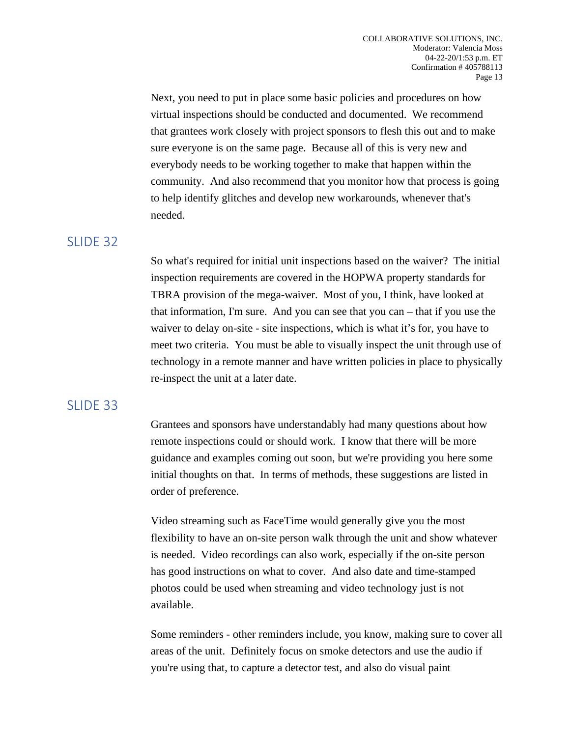Next, you need to put in place some basic policies and procedures on how virtual inspections should be conducted and documented. We recommend that grantees work closely with project sponsors to flesh this out and to make sure everyone is on the same page. Because all of this is very new and everybody needs to be working together to make that happen within the community. And also recommend that you monitor how that process is going to help identify glitches and develop new workarounds, whenever that's needed.

## SLIDE 32

So what's required for initial unit inspections based on the waiver? The initial inspection requirements are covered in the HOPWA property standards for TBRA provision of the mega-waiver. Most of you, I think, have looked at that information, I'm sure. And you can see that you can – that if you use the waiver to delay on-site - site inspections, which is what it's for, you have to meet two criteria. You must be able to visually inspect the unit through use of technology in a remote manner and have written policies in place to physically re-inspect the unit at a later date.

# SLIDE 33

Grantees and sponsors have understandably had many questions about how remote inspections could or should work. I know that there will be more guidance and examples coming out soon, but we're providing you here some initial thoughts on that. In terms of methods, these suggestions are listed in order of preference.

Video streaming such as FaceTime would generally give you the most flexibility to have an on-site person walk through the unit and show whatever is needed. Video recordings can also work, especially if the on-site person has good instructions on what to cover. And also date and time-stamped photos could be used when streaming and video technology just is not available.

Some reminders - other reminders include, you know, making sure to cover all areas of the unit. Definitely focus on smoke detectors and use the audio if you're using that, to capture a detector test, and also do visual paint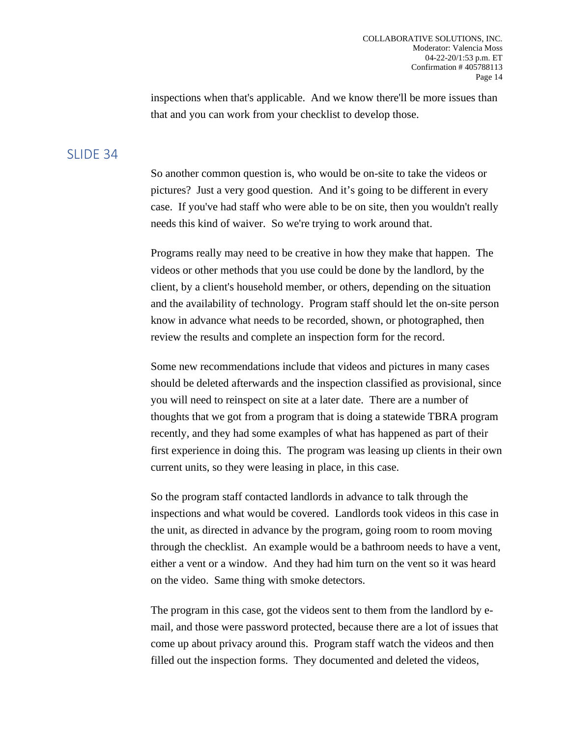inspections when that's applicable. And we know there'll be more issues than that and you can work from your checklist to develop those.

## SLIDE 34

So another common question is, who would be on-site to take the videos or pictures? Just a very good question. And it's going to be different in every case. If you've had staff who were able to be on site, then you wouldn't really needs this kind of waiver. So we're trying to work around that.

Programs really may need to be creative in how they make that happen. The videos or other methods that you use could be done by the landlord, by the client, by a client's household member, or others, depending on the situation and the availability of technology. Program staff should let the on-site person know in advance what needs to be recorded, shown, or photographed, then review the results and complete an inspection form for the record.

Some new recommendations include that videos and pictures in many cases should be deleted afterwards and the inspection classified as provisional, since you will need to reinspect on site at a later date. There are a number of thoughts that we got from a program that is doing a statewide TBRA program recently, and they had some examples of what has happened as part of their first experience in doing this. The program was leasing up clients in their own current units, so they were leasing in place, in this case.

So the program staff contacted landlords in advance to talk through the inspections and what would be covered. Landlords took videos in this case in the unit, as directed in advance by the program, going room to room moving through the checklist. An example would be a bathroom needs to have a vent, either a vent or a window. And they had him turn on the vent so it was heard on the video. Same thing with smoke detectors.

The program in this case, got the videos sent to them from the landlord by email, and those were password protected, because there are a lot of issues that come up about privacy around this. Program staff watch the videos and then filled out the inspection forms. They documented and deleted the videos,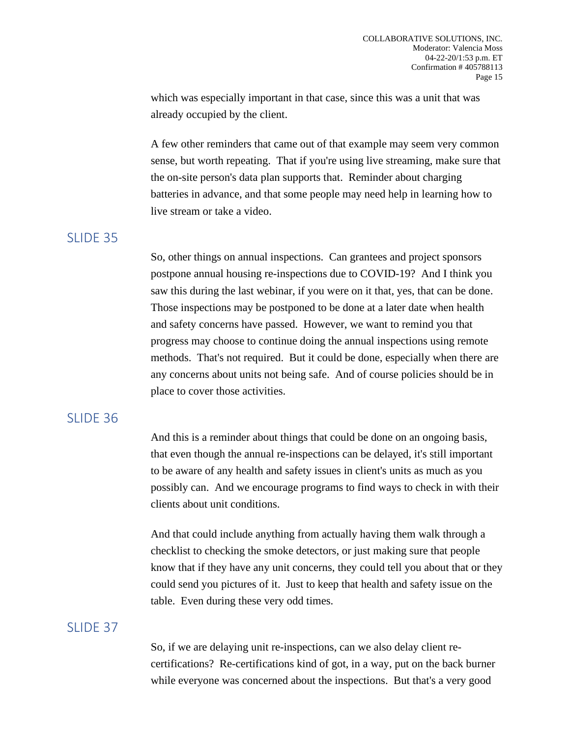which was especially important in that case, since this was a unit that was already occupied by the client.

A few other reminders that came out of that example may seem very common sense, but worth repeating. That if you're using live streaming, make sure that the on-site person's data plan supports that. Reminder about charging batteries in advance, and that some people may need help in learning how to live stream or take a video.

### SLIDE 35

So, other things on annual inspections. Can grantees and project sponsors postpone annual housing re-inspections due to COVID-19? And I think you saw this during the last webinar, if you were on it that, yes, that can be done. Those inspections may be postponed to be done at a later date when health and safety concerns have passed. However, we want to remind you that progress may choose to continue doing the annual inspections using remote methods. That's not required. But it could be done, especially when there are any concerns about units not being safe. And of course policies should be in place to cover those activities.

# SLIDE 36

And this is a reminder about things that could be done on an ongoing basis, that even though the annual re-inspections can be delayed, it's still important to be aware of any health and safety issues in client's units as much as you possibly can. And we encourage programs to find ways to check in with their clients about unit conditions.

And that could include anything from actually having them walk through a checklist to checking the smoke detectors, or just making sure that people know that if they have any unit concerns, they could tell you about that or they could send you pictures of it. Just to keep that health and safety issue on the table. Even during these very odd times.

## SLIDE 37

So, if we are delaying unit re-inspections, can we also delay client recertifications? Re-certifications kind of got, in a way, put on the back burner while everyone was concerned about the inspections. But that's a very good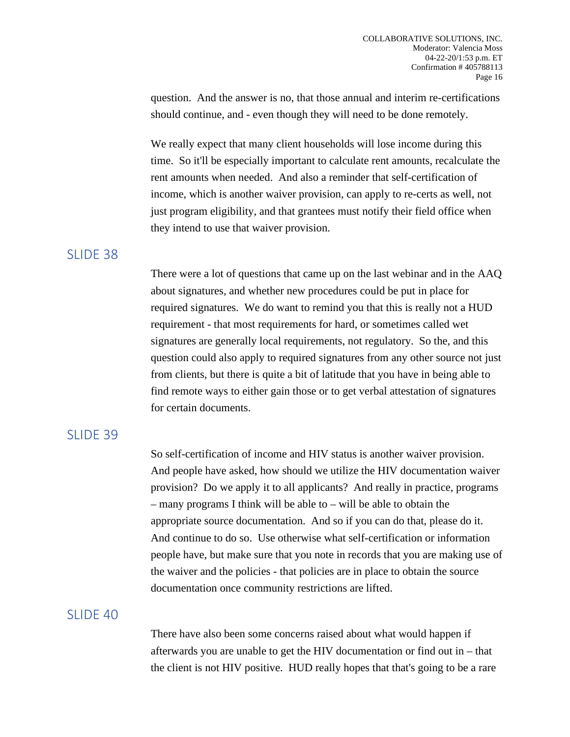question. And the answer is no, that those annual and interim re-certifications should continue, and - even though they will need to be done remotely.

We really expect that many client households will lose income during this time. So it'll be especially important to calculate rent amounts, recalculate the rent amounts when needed. And also a reminder that self-certification of income, which is another waiver provision, can apply to re-certs as well, not just program eligibility, and that grantees must notify their field office when they intend to use that waiver provision.

### SLIDE 38

There were a lot of questions that came up on the last webinar and in the AAQ about signatures, and whether new procedures could be put in place for required signatures. We do want to remind you that this is really not a HUD requirement - that most requirements for hard, or sometimes called wet signatures are generally local requirements, not regulatory. So the, and this question could also apply to required signatures from any other source not just from clients, but there is quite a bit of latitude that you have in being able to find remote ways to either gain those or to get verbal attestation of signatures for certain documents.

### SLIDE 39

So self-certification of income and HIV status is another waiver provision. And people have asked, how should we utilize the HIV documentation waiver provision? Do we apply it to all applicants? And really in practice, programs – many programs I think will be able to – will be able to obtain the appropriate source documentation. And so if you can do that, please do it. And continue to do so. Use otherwise what self-certification or information people have, but make sure that you note in records that you are making use of the waiver and the policies - that policies are in place to obtain the source documentation once community restrictions are lifted.

### SLIDE 40

There have also been some concerns raised about what would happen if afterwards you are unable to get the HIV documentation or find out in – that the client is not HIV positive. HUD really hopes that that's going to be a rare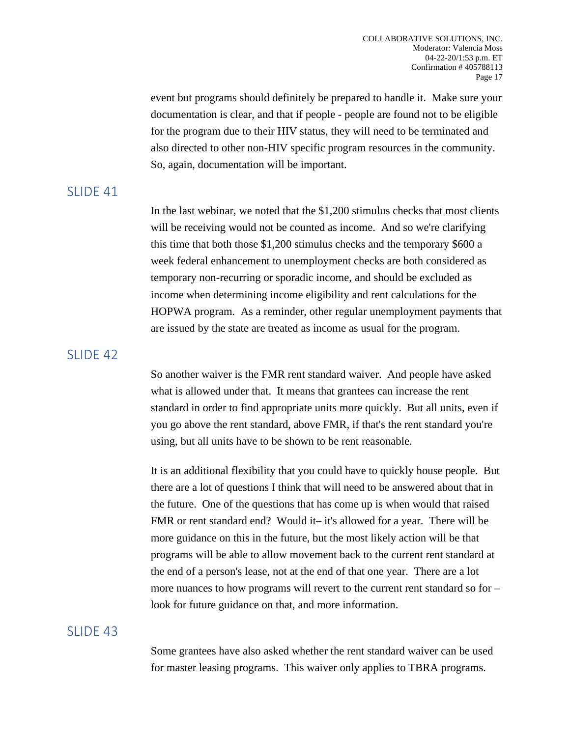event but programs should definitely be prepared to handle it. Make sure your documentation is clear, and that if people - people are found not to be eligible for the program due to their HIV status, they will need to be terminated and also directed to other non-HIV specific program resources in the community. So, again, documentation will be important.

## SLIDE 41

In the last webinar, we noted that the \$1,200 stimulus checks that most clients will be receiving would not be counted as income. And so we're clarifying this time that both those \$1,200 stimulus checks and the temporary \$600 a week federal enhancement to unemployment checks are both considered as temporary non-recurring or sporadic income, and should be excluded as income when determining income eligibility and rent calculations for the HOPWA program. As a reminder, other regular unemployment payments that are issued by the state are treated as income as usual for the program.

## SLIDE 42

So another waiver is the FMR rent standard waiver. And people have asked what is allowed under that. It means that grantees can increase the rent standard in order to find appropriate units more quickly. But all units, even if you go above the rent standard, above FMR, if that's the rent standard you're using, but all units have to be shown to be rent reasonable.

It is an additional flexibility that you could have to quickly house people. But there are a lot of questions I think that will need to be answered about that in the future. One of the questions that has come up is when would that raised FMR or rent standard end? Would it– it's allowed for a year. There will be more guidance on this in the future, but the most likely action will be that programs will be able to allow movement back to the current rent standard at the end of a person's lease, not at the end of that one year. There are a lot more nuances to how programs will revert to the current rent standard so for – look for future guidance on that, and more information.

### SLIDE 43

Some grantees have also asked whether the rent standard waiver can be used for master leasing programs. This waiver only applies to TBRA programs.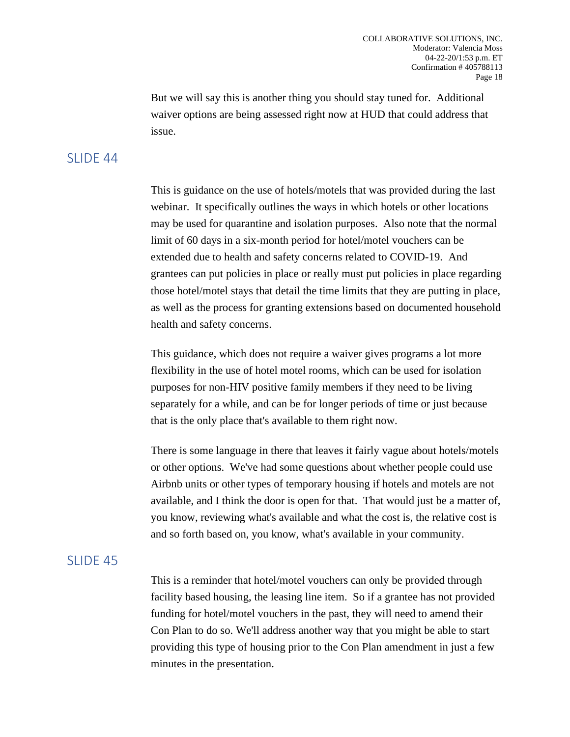But we will say this is another thing you should stay tuned for. Additional waiver options are being assessed right now at HUD that could address that issue.

## **SLIDE 44**

This is guidance on the use of hotels/motels that was provided during the last webinar. It specifically outlines the ways in which hotels or other locations may be used for quarantine and isolation purposes. Also note that the normal limit of 60 days in a six-month period for hotel/motel vouchers can be extended due to health and safety concerns related to COVID-19. And grantees can put policies in place or really must put policies in place regarding those hotel/motel stays that detail the time limits that they are putting in place, as well as the process for granting extensions based on documented household health and safety concerns.

This guidance, which does not require a waiver gives programs a lot more flexibility in the use of hotel motel rooms, which can be used for isolation purposes for non-HIV positive family members if they need to be living separately for a while, and can be for longer periods of time or just because that is the only place that's available to them right now.

There is some language in there that leaves it fairly vague about hotels/motels or other options. We've had some questions about whether people could use Airbnb units or other types of temporary housing if hotels and motels are not available, and I think the door is open for that. That would just be a matter of, you know, reviewing what's available and what the cost is, the relative cost is and so forth based on, you know, what's available in your community.

## SLIDE 45

This is a reminder that hotel/motel vouchers can only be provided through facility based housing, the leasing line item. So if a grantee has not provided funding for hotel/motel vouchers in the past, they will need to amend their Con Plan to do so. We'll address another way that you might be able to start providing this type of housing prior to the Con Plan amendment in just a few minutes in the presentation.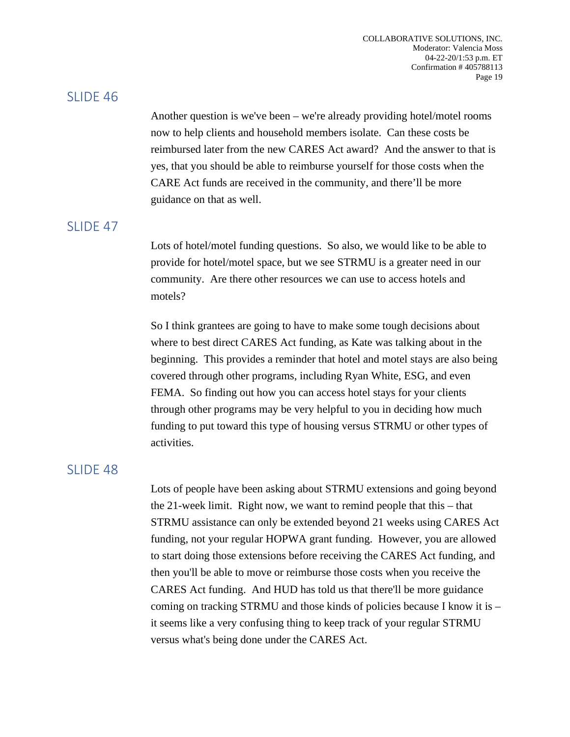Another question is we've been – we're already providing hotel/motel rooms now to help clients and household members isolate. Can these costs be reimbursed later from the new CARES Act award? And the answer to that is yes, that you should be able to reimburse yourself for those costs when the CARE Act funds are received in the community, and there'll be more guidance on that as well.

# SLIDE 47

Lots of hotel/motel funding questions. So also, we would like to be able to provide for hotel/motel space, but we see STRMU is a greater need in our community. Are there other resources we can use to access hotels and motels?

So I think grantees are going to have to make some tough decisions about where to best direct CARES Act funding, as Kate was talking about in the beginning. This provides a reminder that hotel and motel stays are also being covered through other programs, including Ryan White, ESG, and even FEMA. So finding out how you can access hotel stays for your clients through other programs may be very helpful to you in deciding how much funding to put toward this type of housing versus STRMU or other types of activities.

## SLIDE 48

Lots of people have been asking about STRMU extensions and going beyond the 21-week limit. Right now, we want to remind people that this – that STRMU assistance can only be extended beyond 21 weeks using CARES Act funding, not your regular HOPWA grant funding. However, you are allowed to start doing those extensions before receiving the CARES Act funding, and then you'll be able to move or reimburse those costs when you receive the CARES Act funding. And HUD has told us that there'll be more guidance coming on tracking STRMU and those kinds of policies because I know it is – it seems like a very confusing thing to keep track of your regular STRMU versus what's being done under the CARES Act.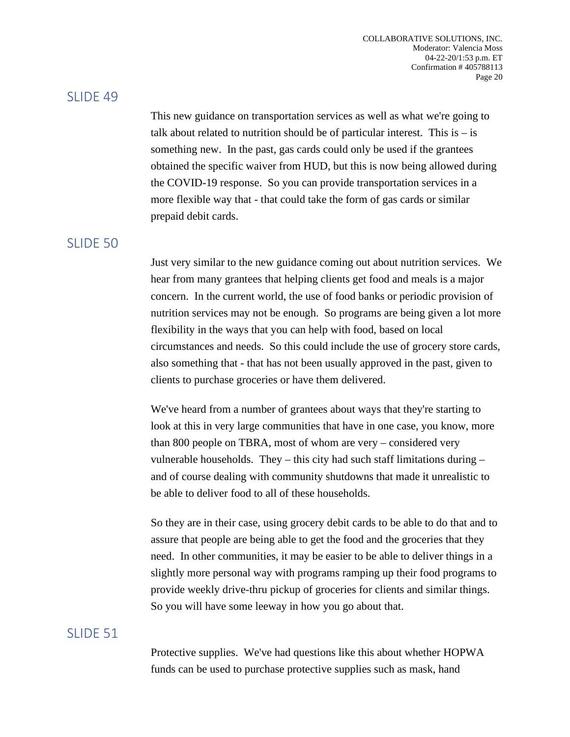This new guidance on transportation services as well as what we're going to talk about related to nutrition should be of particular interest. This is  $-$  is something new. In the past, gas cards could only be used if the grantees obtained the specific waiver from HUD, but this is now being allowed during the COVID-19 response. So you can provide transportation services in a more flexible way that - that could take the form of gas cards or similar prepaid debit cards.

#### SLIDE 50

Just very similar to the new guidance coming out about nutrition services. We hear from many grantees that helping clients get food and meals is a major concern. In the current world, the use of food banks or periodic provision of nutrition services may not be enough. So programs are being given a lot more flexibility in the ways that you can help with food, based on local circumstances and needs. So this could include the use of grocery store cards, also something that - that has not been usually approved in the past, given to clients to purchase groceries or have them delivered.

We've heard from a number of grantees about ways that they're starting to look at this in very large communities that have in one case, you know, more than 800 people on TBRA, most of whom are very – considered very vulnerable households. They – this city had such staff limitations during – and of course dealing with community shutdowns that made it unrealistic to be able to deliver food to all of these households.

So they are in their case, using grocery debit cards to be able to do that and to assure that people are being able to get the food and the groceries that they need. In other communities, it may be easier to be able to deliver things in a slightly more personal way with programs ramping up their food programs to provide weekly drive-thru pickup of groceries for clients and similar things. So you will have some leeway in how you go about that.

## SLIDE 51

Protective supplies. We've had questions like this about whether HOPWA funds can be used to purchase protective supplies such as mask, hand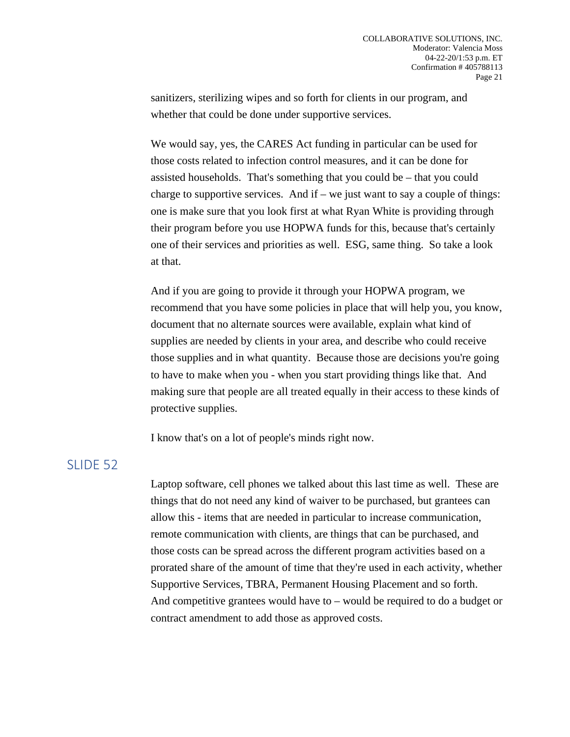sanitizers, sterilizing wipes and so forth for clients in our program, and whether that could be done under supportive services.

We would say, yes, the CARES Act funding in particular can be used for those costs related to infection control measures, and it can be done for assisted households. That's something that you could be – that you could charge to supportive services. And if – we just want to say a couple of things: one is make sure that you look first at what Ryan White is providing through their program before you use HOPWA funds for this, because that's certainly one of their services and priorities as well. ESG, same thing. So take a look at that.

And if you are going to provide it through your HOPWA program, we recommend that you have some policies in place that will help you, you know, document that no alternate sources were available, explain what kind of supplies are needed by clients in your area, and describe who could receive those supplies and in what quantity. Because those are decisions you're going to have to make when you - when you start providing things like that. And making sure that people are all treated equally in their access to these kinds of protective supplies.

I know that's on a lot of people's minds right now.

# SLIDE 52

Laptop software, cell phones we talked about this last time as well. These are things that do not need any kind of waiver to be purchased, but grantees can allow this - items that are needed in particular to increase communication, remote communication with clients, are things that can be purchased, and those costs can be spread across the different program activities based on a prorated share of the amount of time that they're used in each activity, whether Supportive Services, TBRA, Permanent Housing Placement and so forth. And competitive grantees would have to – would be required to do a budget or contract amendment to add those as approved costs.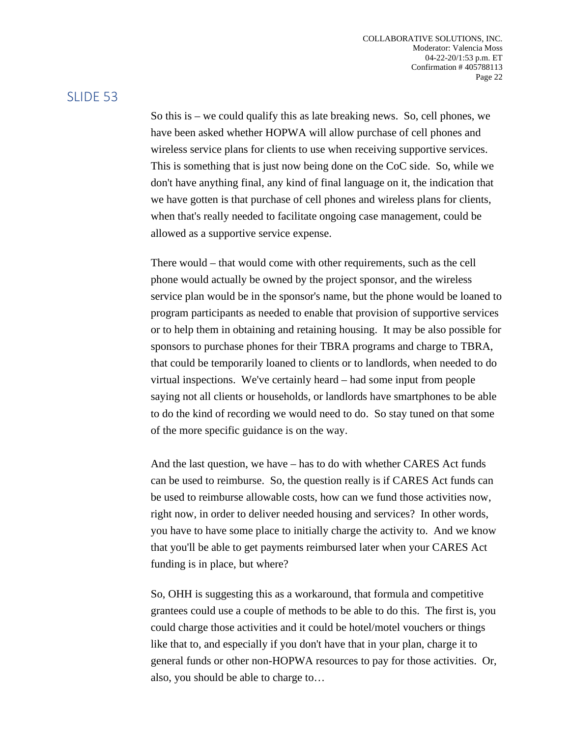So this is – we could qualify this as late breaking news. So, cell phones, we have been asked whether HOPWA will allow purchase of cell phones and wireless service plans for clients to use when receiving supportive services. This is something that is just now being done on the CoC side. So, while we don't have anything final, any kind of final language on it, the indication that we have gotten is that purchase of cell phones and wireless plans for clients, when that's really needed to facilitate ongoing case management, could be allowed as a supportive service expense.

There would – that would come with other requirements, such as the cell phone would actually be owned by the project sponsor, and the wireless service plan would be in the sponsor's name, but the phone would be loaned to program participants as needed to enable that provision of supportive services or to help them in obtaining and retaining housing. It may be also possible for sponsors to purchase phones for their TBRA programs and charge to TBRA, that could be temporarily loaned to clients or to landlords, when needed to do virtual inspections. We've certainly heard – had some input from people saying not all clients or households, or landlords have smartphones to be able to do the kind of recording we would need to do. So stay tuned on that some of the more specific guidance is on the way.

And the last question, we have – has to do with whether CARES Act funds can be used to reimburse. So, the question really is if CARES Act funds can be used to reimburse allowable costs, how can we fund those activities now, right now, in order to deliver needed housing and services? In other words, you have to have some place to initially charge the activity to. And we know that you'll be able to get payments reimbursed later when your CARES Act funding is in place, but where?

So, OHH is suggesting this as a workaround, that formula and competitive grantees could use a couple of methods to be able to do this. The first is, you could charge those activities and it could be hotel/motel vouchers or things like that to, and especially if you don't have that in your plan, charge it to general funds or other non-HOPWA resources to pay for those activities. Or, also, you should be able to charge to…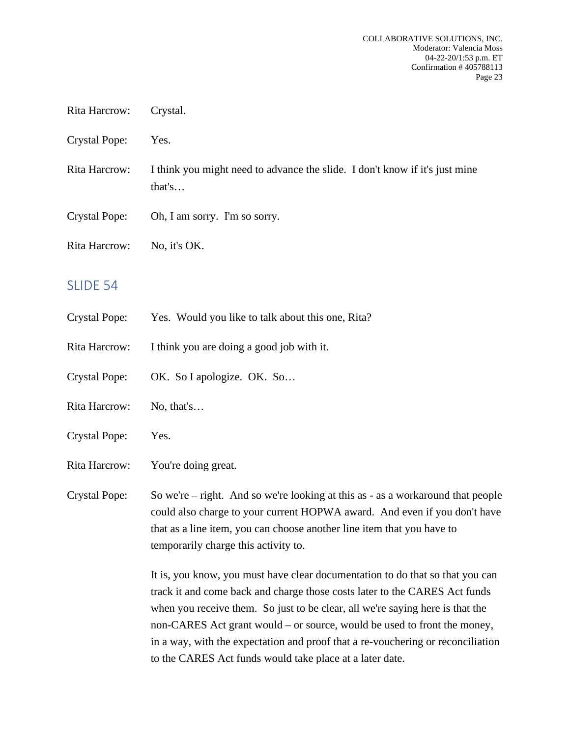- Rita Harcrow: Crystal.
- Crystal Pope: Yes.
- Rita Harcrow: I think you might need to advance the slide. I don't know if it's just mine that's…
- Crystal Pope: Oh, I am sorry. I'm so sorry.
- Rita Harcrow: No, it's OK.

- Crystal Pope: Yes. Would you like to talk about this one, Rita?
- Rita Harcrow: I think you are doing a good job with it.
- Crystal Pope: OK. So I apologize. OK. So…
- Rita Harcrow: No, that's...
- Crystal Pope: Yes.
- Rita Harcrow: You're doing great.

Crystal Pope: So we're – right. And so we're looking at this as - as a workaround that people could also charge to your current HOPWA award. And even if you don't have that as a line item, you can choose another line item that you have to temporarily charge this activity to.

> It is, you know, you must have clear documentation to do that so that you can track it and come back and charge those costs later to the CARES Act funds when you receive them. So just to be clear, all we're saying here is that the non-CARES Act grant would – or source, would be used to front the money, in a way, with the expectation and proof that a re-vouchering or reconciliation to the CARES Act funds would take place at a later date.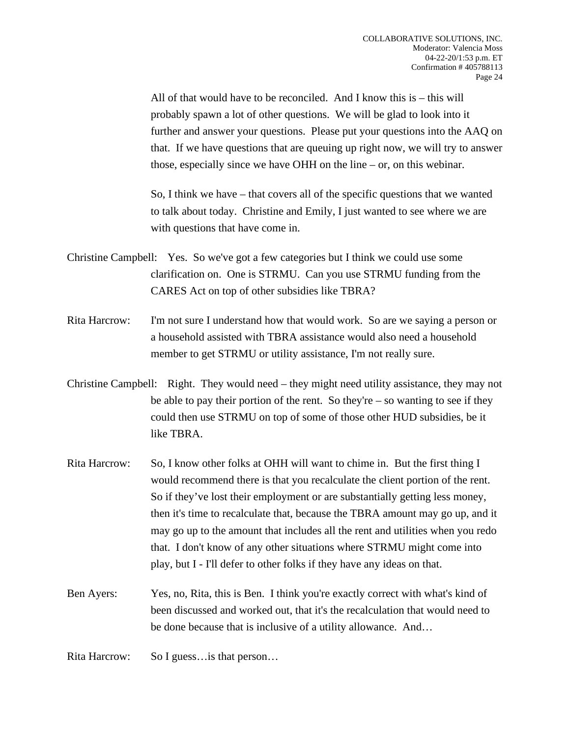All of that would have to be reconciled. And I know this is – this will probably spawn a lot of other questions. We will be glad to look into it further and answer your questions. Please put your questions into the AAQ on that. If we have questions that are queuing up right now, we will try to answer those, especially since we have OHH on the line – or, on this webinar.

So, I think we have – that covers all of the specific questions that we wanted to talk about today. Christine and Emily, I just wanted to see where we are with questions that have come in.

- Christine Campbell: Yes. So we've got a few categories but I think we could use some clarification on. One is STRMU. Can you use STRMU funding from the CARES Act on top of other subsidies like TBRA?
- Rita Harcrow: I'm not sure I understand how that would work. So are we saying a person or a household assisted with TBRA assistance would also need a household member to get STRMU or utility assistance, I'm not really sure.
- Christine Campbell: Right. They would need they might need utility assistance, they may not be able to pay their portion of the rent. So they're – so wanting to see if they could then use STRMU on top of some of those other HUD subsidies, be it like TBRA.
- Rita Harcrow: So, I know other folks at OHH will want to chime in. But the first thing I would recommend there is that you recalculate the client portion of the rent. So if they've lost their employment or are substantially getting less money, then it's time to recalculate that, because the TBRA amount may go up, and it may go up to the amount that includes all the rent and utilities when you redo that. I don't know of any other situations where STRMU might come into play, but I - I'll defer to other folks if they have any ideas on that.
- Ben Ayers: Yes, no, Rita, this is Ben. I think you're exactly correct with what's kind of been discussed and worked out, that it's the recalculation that would need to be done because that is inclusive of a utility allowance. And…
- Rita Harcrow: So I guess... is that person...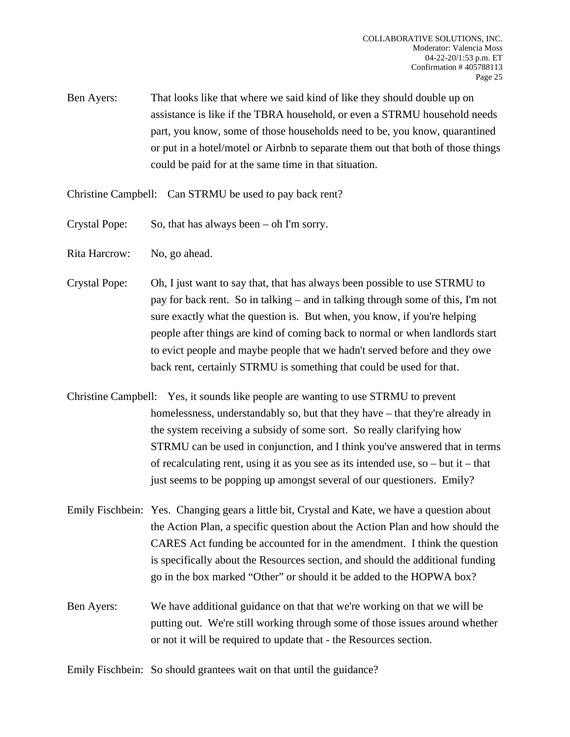Ben Ayers: That looks like that where we said kind of like they should double up on assistance is like if the TBRA household, or even a STRMU household needs part, you know, some of those households need to be, you know, quarantined or put in a hotel/motel or Airbnb to separate them out that both of those things could be paid for at the same time in that situation.

Christine Campbell: Can STRMU be used to pay back rent?

- Crystal Pope: So, that has always been oh I'm sorry.
- Rita Harcrow: No, go ahead.
- Crystal Pope: Oh, I just want to say that, that has always been possible to use STRMU to pay for back rent. So in talking – and in talking through some of this, I'm not sure exactly what the question is. But when, you know, if you're helping people after things are kind of coming back to normal or when landlords start to evict people and maybe people that we hadn't served before and they owe back rent, certainly STRMU is something that could be used for that.
- Christine Campbell: Yes, it sounds like people are wanting to use STRMU to prevent homelessness, understandably so, but that they have – that they're already in the system receiving a subsidy of some sort. So really clarifying how STRMU can be used in conjunction, and I think you've answered that in terms of recalculating rent, using it as you see as its intended use, so – but it – that just seems to be popping up amongst several of our questioners. Emily?
- Emily Fischbein: Yes. Changing gears a little bit, Crystal and Kate, we have a question about the Action Plan, a specific question about the Action Plan and how should the CARES Act funding be accounted for in the amendment. I think the question is specifically about the Resources section, and should the additional funding go in the box marked "Other" or should it be added to the HOPWA box?
- Ben Ayers: We have additional guidance on that that we're working on that we will be putting out. We're still working through some of those issues around whether or not it will be required to update that - the Resources section.

Emily Fischbein: So should grantees wait on that until the guidance?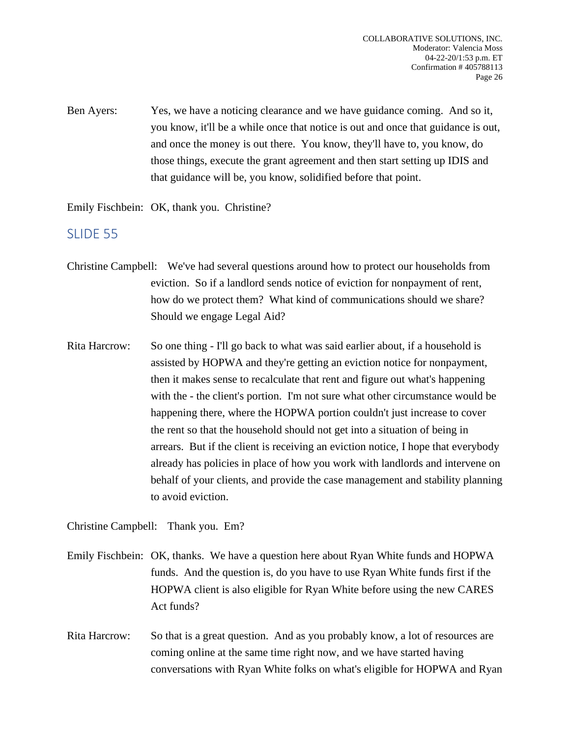Ben Ayers: Yes, we have a noticing clearance and we have guidance coming. And so it, you know, it'll be a while once that notice is out and once that guidance is out, and once the money is out there. You know, they'll have to, you know, do those things, execute the grant agreement and then start setting up IDIS and that guidance will be, you know, solidified before that point.

Emily Fischbein: OK, thank you. Christine?

## SLIDE 55

- Christine Campbell: We've had several questions around how to protect our households from eviction. So if a landlord sends notice of eviction for nonpayment of rent, how do we protect them? What kind of communications should we share? Should we engage Legal Aid?
- Rita Harcrow: So one thing I'll go back to what was said earlier about, if a household is assisted by HOPWA and they're getting an eviction notice for nonpayment, then it makes sense to recalculate that rent and figure out what's happening with the - the client's portion. I'm not sure what other circumstance would be happening there, where the HOPWA portion couldn't just increase to cover the rent so that the household should not get into a situation of being in arrears. But if the client is receiving an eviction notice, I hope that everybody already has policies in place of how you work with landlords and intervene on behalf of your clients, and provide the case management and stability planning to avoid eviction.

Christine Campbell: Thank you. Em?

- Emily Fischbein: OK, thanks. We have a question here about Ryan White funds and HOPWA funds. And the question is, do you have to use Ryan White funds first if the HOPWA client is also eligible for Ryan White before using the new CARES Act funds?
- Rita Harcrow: So that is a great question. And as you probably know, a lot of resources are coming online at the same time right now, and we have started having conversations with Ryan White folks on what's eligible for HOPWA and Ryan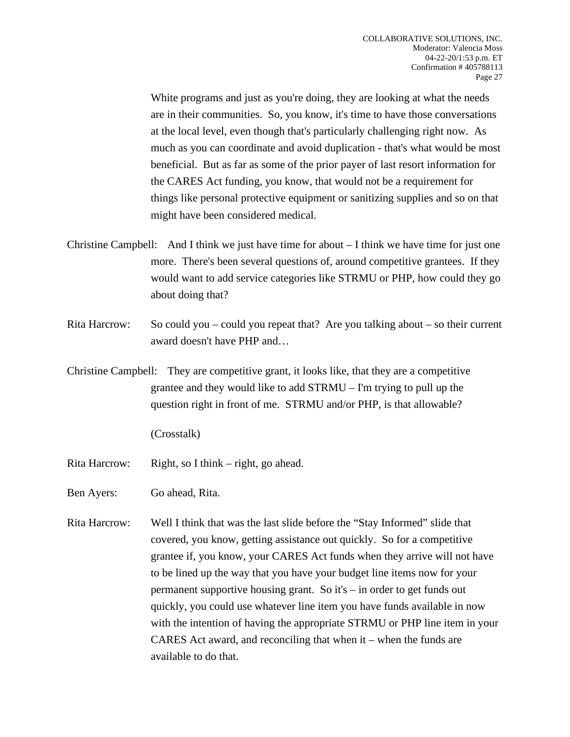White programs and just as you're doing, they are looking at what the needs are in their communities. So, you know, it's time to have those conversations at the local level, even though that's particularly challenging right now. As much as you can coordinate and avoid duplication - that's what would be most beneficial. But as far as some of the prior payer of last resort information for the CARES Act funding, you know, that would not be a requirement for things like personal protective equipment or sanitizing supplies and so on that might have been considered medical.

- Christine Campbell: And I think we just have time for about I think we have time for just one more. There's been several questions of, around competitive grantees. If they would want to add service categories like STRMU or PHP, how could they go about doing that?
- Rita Harcrow: So could you could you repeat that? Are you talking about so their current award doesn't have PHP and…
- Christine Campbell: They are competitive grant, it looks like, that they are a competitive grantee and they would like to add STRMU – I'm trying to pull up the question right in front of me. STRMU and/or PHP, is that allowable?

(Crosstalk)

- Rita Harcrow: Right, so I think right, go ahead.
- Ben Ayers: Go ahead, Rita.
- Rita Harcrow: Well I think that was the last slide before the "Stay Informed" slide that covered, you know, getting assistance out quickly. So for a competitive grantee if, you know, your CARES Act funds when they arrive will not have to be lined up the way that you have your budget line items now for your permanent supportive housing grant. So it's – in order to get funds out quickly, you could use whatever line item you have funds available in now with the intention of having the appropriate STRMU or PHP line item in your CARES Act award, and reconciling that when it – when the funds are available to do that.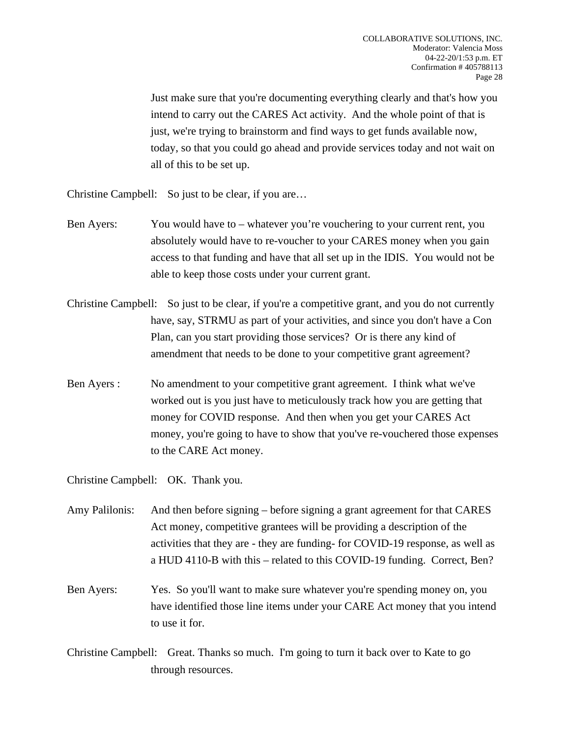Just make sure that you're documenting everything clearly and that's how you intend to carry out the CARES Act activity. And the whole point of that is just, we're trying to brainstorm and find ways to get funds available now, today, so that you could go ahead and provide services today and not wait on all of this to be set up.

Christine Campbell: So just to be clear, if you are…

- Ben Ayers: You would have to whatever you're vouchering to your current rent, you absolutely would have to re-voucher to your CARES money when you gain access to that funding and have that all set up in the IDIS. You would not be able to keep those costs under your current grant.
- Christine Campbell: So just to be clear, if you're a competitive grant, and you do not currently have, say, STRMU as part of your activities, and since you don't have a Con Plan, can you start providing those services? Or is there any kind of amendment that needs to be done to your competitive grant agreement?
- Ben Ayers : No amendment to your competitive grant agreement. I think what we've worked out is you just have to meticulously track how you are getting that money for COVID response. And then when you get your CARES Act money, you're going to have to show that you've re-vouchered those expenses to the CARE Act money.

Christine Campbell: OK. Thank you.

Amy Palilonis: And then before signing – before signing a grant agreement for that CARES Act money, competitive grantees will be providing a description of the activities that they are - they are funding- for COVID-19 response, as well as a HUD 4110-B with this – related to this COVID-19 funding. Correct, Ben?

Ben Ayers: Yes. So you'll want to make sure whatever you're spending money on, you have identified those line items under your CARE Act money that you intend to use it for.

Christine Campbell: Great. Thanks so much. I'm going to turn it back over to Kate to go through resources.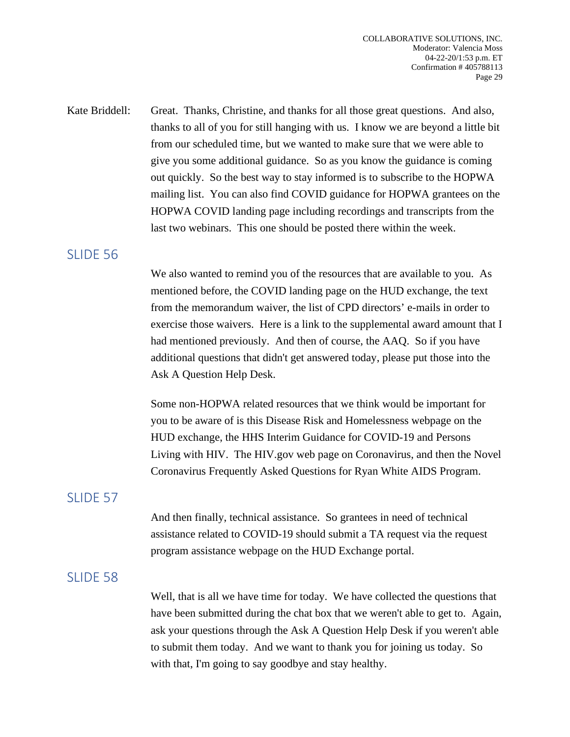Kate Briddell: Great. Thanks, Christine, and thanks for all those great questions. And also, thanks to all of you for still hanging with us. I know we are beyond a little bit from our scheduled time, but we wanted to make sure that we were able to give you some additional guidance. So as you know the guidance is coming out quickly. So the best way to stay informed is to subscribe to the HOPWA mailing list. You can also find COVID guidance for HOPWA grantees on the HOPWA COVID landing page including recordings and transcripts from the last two webinars. This one should be posted there within the week.

### SLIDE 56

We also wanted to remind you of the resources that are available to you. As mentioned before, the COVID landing page on the HUD exchange, the text from the memorandum waiver, the list of CPD directors' e-mails in order to exercise those waivers. Here is a link to the supplemental award amount that I had mentioned previously. And then of course, the AAQ. So if you have additional questions that didn't get answered today, please put those into the Ask A Question Help Desk.

Some non-HOPWA related resources that we think would be important for you to be aware of is this Disease Risk and Homelessness webpage on the HUD exchange, the HHS Interim Guidance for COVID-19 and Persons Living with HIV. The HIV.gov web page on Coronavirus, and then the Novel Coronavirus Frequently Asked Questions for Ryan White AIDS Program.

### SLIDE 57

And then finally, technical assistance. So grantees in need of technical assistance related to COVID-19 should submit a TA request via the request program assistance webpage on the HUD Exchange portal.

### SLIDE 58

Well, that is all we have time for today. We have collected the questions that have been submitted during the chat box that we weren't able to get to. Again, ask your questions through the Ask A Question Help Desk if you weren't able to submit them today. And we want to thank you for joining us today. So with that, I'm going to say goodbye and stay healthy.